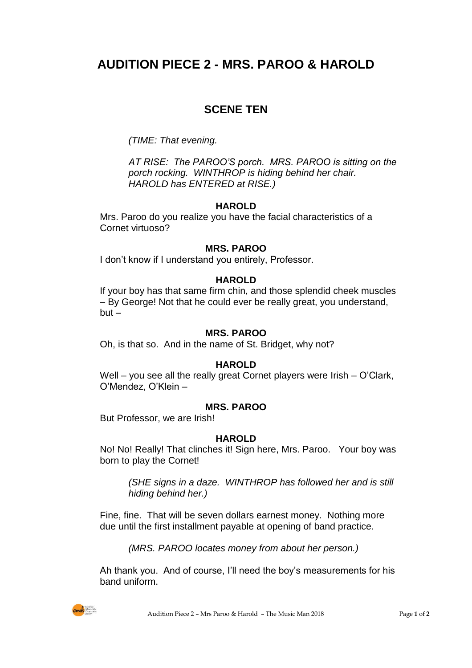# **AUDITION PIECE 2 - MRS. PAROO & HAROLD**

# **SCENE TEN**

*(TIME: That evening.*

*AT RISE: The PAROO'S porch. MRS. PAROO is sitting on the porch rocking. WINTHROP is hiding behind her chair. HAROLD has ENTERED at RISE.)*

## **HAROLD**

Mrs. Paroo do you realize you have the facial characteristics of a Cornet virtuoso?

#### **MRS. PAROO**

I don't know if I understand you entirely, Professor.

## **HAROLD**

If your boy has that same firm chin, and those splendid cheek muscles – By George! Not that he could ever be really great, you understand,  $but -$ 

#### **MRS. PAROO**

Oh, is that so. And in the name of St. Bridget, why not?

#### **HAROLD**

Well – you see all the really great Cornet players were Irish – O'Clark, O'Mendez, O'Klein –

#### **MRS. PAROO**

But Professor, we are Irish!

#### **HAROLD**

No! No! Really! That clinches it! Sign here, Mrs. Paroo. Your boy was born to play the Cornet!

*(SHE signs in a daze. WINTHROP has followed her and is still hiding behind her.)*

Fine, fine. That will be seven dollars earnest money. Nothing more due until the first installment payable at opening of band practice.

*(MRS. PAROO locates money from about her person.)*

Ah thank you. And of course, I'll need the boy's measurements for his band uniform.